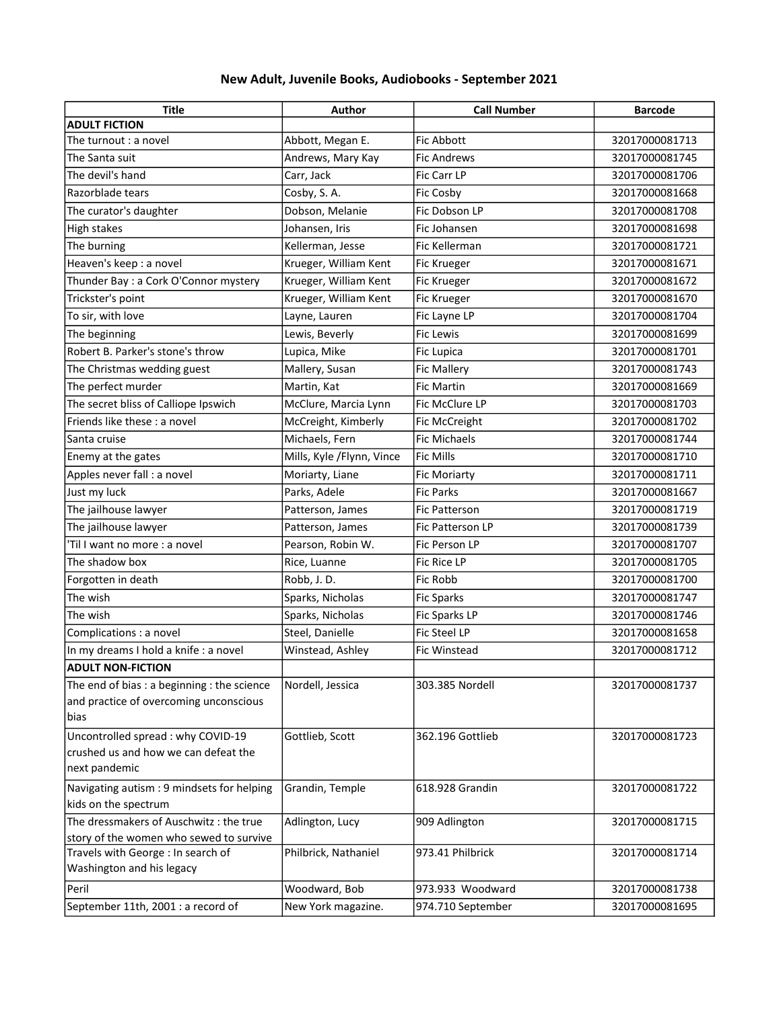## New Adult, Juvenile Books, Audiobooks - September 2021

| <b>Title</b>                                                                  | Author                    | <b>Call Number</b>  | <b>Barcode</b> |
|-------------------------------------------------------------------------------|---------------------------|---------------------|----------------|
| <b>ADULT FICTION</b>                                                          |                           |                     |                |
| The turnout : a novel                                                         | Abbott, Megan E.          | <b>Fic Abbott</b>   | 32017000081713 |
| The Santa suit                                                                | Andrews, Mary Kay         | <b>Fic Andrews</b>  | 32017000081745 |
| The devil's hand                                                              | Carr, Jack                | Fic Carr LP         | 32017000081706 |
| Razorblade tears                                                              | Cosby, S.A.               | Fic Cosby           | 32017000081668 |
| The curator's daughter                                                        | Dobson, Melanie           | Fic Dobson LP       | 32017000081708 |
| <b>High stakes</b>                                                            | Johansen, Iris            | Fic Johansen        | 32017000081698 |
| The burning                                                                   | Kellerman, Jesse          | Fic Kellerman       | 32017000081721 |
| Heaven's keep : a novel                                                       | Krueger, William Kent     | <b>Fic Krueger</b>  | 32017000081671 |
| Thunder Bay : a Cork O'Connor mystery                                         | Krueger, William Kent     | Fic Krueger         | 32017000081672 |
| Trickster's point                                                             | Krueger, William Kent     | Fic Krueger         | 32017000081670 |
| To sir, with love                                                             | Layne, Lauren             | Fic Layne LP        | 32017000081704 |
| The beginning                                                                 | Lewis, Beverly            | Fic Lewis           | 32017000081699 |
| Robert B. Parker's stone's throw                                              | Lupica, Mike              | Fic Lupica          | 32017000081701 |
| The Christmas wedding guest                                                   | Mallery, Susan            | <b>Fic Mallery</b>  | 32017000081743 |
| The perfect murder                                                            | Martin, Kat               | <b>Fic Martin</b>   | 32017000081669 |
| The secret bliss of Calliope Ipswich                                          | McClure, Marcia Lynn      | Fic McClure LP      | 32017000081703 |
| Friends like these : a novel                                                  | McCreight, Kimberly       | Fic McCreight       | 32017000081702 |
| Santa cruise                                                                  | Michaels, Fern            | <b>Fic Michaels</b> | 32017000081744 |
| Enemy at the gates                                                            | Mills, Kyle /Flynn, Vince | <b>Fic Mills</b>    | 32017000081710 |
| Apples never fall : a novel                                                   | Moriarty, Liane           | <b>Fic Moriarty</b> | 32017000081711 |
| Just my luck                                                                  | Parks, Adele              | <b>Fic Parks</b>    | 32017000081667 |
| The jailhouse lawyer                                                          | Patterson, James          | Fic Patterson       | 32017000081719 |
| The jailhouse lawyer                                                          | Patterson, James          | Fic Patterson LP    | 32017000081739 |
| 'Til I want no more : a novel                                                 | Pearson, Robin W.         | Fic Person LP       | 32017000081707 |
| The shadow box                                                                | Rice, Luanne              | Fic Rice LP         | 32017000081705 |
| Forgotten in death                                                            | Robb, J.D.                | Fic Robb            | 32017000081700 |
| The wish                                                                      | Sparks, Nicholas          | <b>Fic Sparks</b>   | 32017000081747 |
| The wish                                                                      | Sparks, Nicholas          | Fic Sparks LP       | 32017000081746 |
| Complications : a novel                                                       | Steel, Danielle           | Fic Steel LP        | 32017000081658 |
| In my dreams I hold a knife : a novel                                         | Winstead, Ashley          | Fic Winstead        | 32017000081712 |
| <b>ADULT NON-FICTION</b>                                                      |                           |                     |                |
| The end of bias : a beginning : the science                                   | Nordell, Jessica          | 303.385 Nordell     | 32017000081737 |
| and practice of overcoming unconscious                                        |                           |                     |                |
| bias                                                                          |                           |                     |                |
| Uncontrolled spread : why COVID-19                                            | Gottlieb, Scott           | 362.196 Gottlieb    | 32017000081723 |
| crushed us and how we can defeat the                                          |                           |                     |                |
| next pandemic                                                                 |                           |                     |                |
| Navigating autism : 9 mindsets for helping                                    | Grandin, Temple           | 618.928 Grandin     | 32017000081722 |
| kids on the spectrum                                                          |                           |                     |                |
| The dressmakers of Auschwitz: the true                                        | Adlington, Lucy           | 909 Adlington       | 32017000081715 |
| story of the women who sewed to survive<br>Travels with George : In search of | Philbrick, Nathaniel      | 973.41 Philbrick    | 32017000081714 |
| Washington and his legacy                                                     |                           |                     |                |
| Peril                                                                         | Woodward, Bob             | 973.933 Woodward    | 32017000081738 |
| September 11th, 2001 : a record of                                            | New York magazine.        | 974.710 September   | 32017000081695 |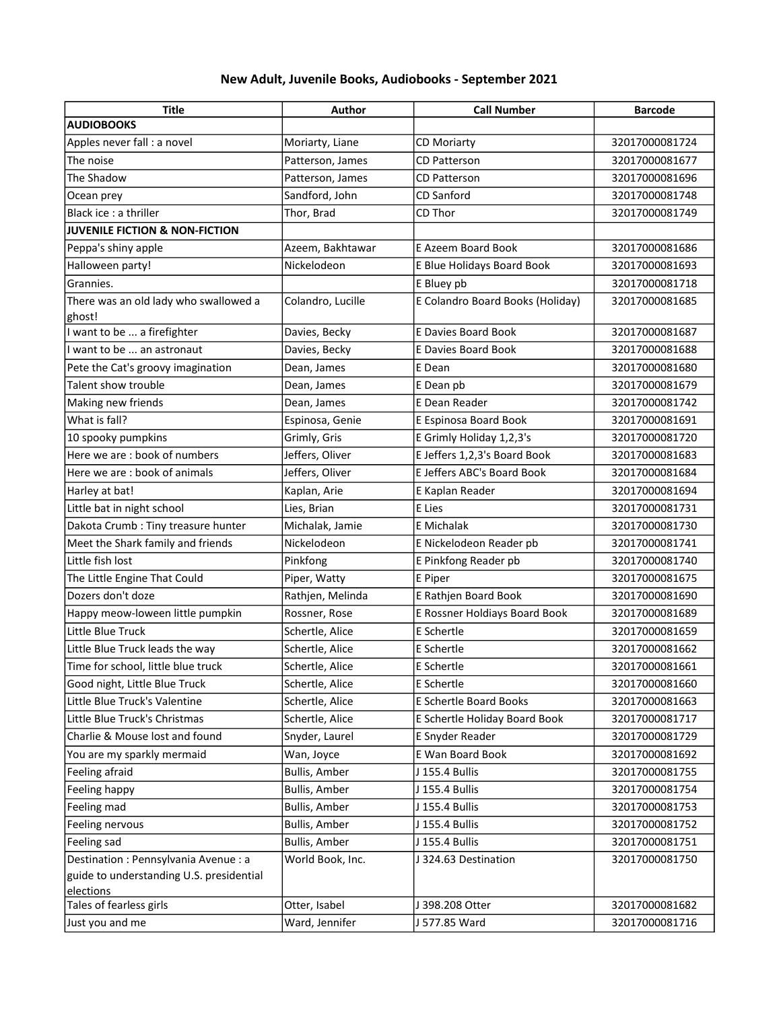## New Adult, Juvenile Books, Audiobooks - September 2021

| Title                                     | Author               | <b>Call Number</b>               | <b>Barcode</b> |
|-------------------------------------------|----------------------|----------------------------------|----------------|
| <b>AUDIOBOOKS</b>                         |                      |                                  |                |
| Apples never fall : a novel               | Moriarty, Liane      | CD Moriarty                      | 32017000081724 |
| The noise                                 | Patterson, James     | <b>CD Patterson</b>              | 32017000081677 |
| The Shadow                                | Patterson, James     | <b>CD Patterson</b>              | 32017000081696 |
| Ocean prey                                | Sandford, John       | <b>CD Sanford</b>                | 32017000081748 |
| Black ice : a thriller                    | Thor, Brad           | CD Thor                          | 32017000081749 |
| <b>JUVENILE FICTION &amp; NON-FICTION</b> |                      |                                  |                |
| Peppa's shiny apple                       | Azeem, Bakhtawar     | E Azeem Board Book               | 32017000081686 |
| Halloween party!                          | Nickelodeon          | E Blue Holidays Board Book       | 32017000081693 |
| Grannies.                                 |                      | E Bluey pb                       | 32017000081718 |
| There was an old lady who swallowed a     | Colandro, Lucille    | E Colandro Board Books (Holiday) | 32017000081685 |
| ghost!                                    |                      |                                  |                |
| I want to be  a firefighter               | Davies, Becky        | <b>E Davies Board Book</b>       | 32017000081687 |
| I want to be  an astronaut                | Davies, Becky        | E Davies Board Book              | 32017000081688 |
| Pete the Cat's groovy imagination         | Dean, James          | E Dean                           | 32017000081680 |
| Talent show trouble                       | Dean, James          | E Dean pb                        | 32017000081679 |
| Making new friends                        | Dean, James          | E Dean Reader                    | 32017000081742 |
| What is fall?                             | Espinosa, Genie      | E Espinosa Board Book            | 32017000081691 |
| 10 spooky pumpkins                        | Grimly, Gris         | E Grimly Holiday 1,2,3's         | 32017000081720 |
| Here we are : book of numbers             | Jeffers, Oliver      | E Jeffers 1,2,3's Board Book     | 32017000081683 |
| Here we are: book of animals              | Jeffers, Oliver      | E Jeffers ABC's Board Book       | 32017000081684 |
| Harley at bat!                            | Kaplan, Arie         | E Kaplan Reader                  | 32017000081694 |
| Little bat in night school                | Lies, Brian          | E Lies                           | 32017000081731 |
| Dakota Crumb: Tiny treasure hunter        | Michalak, Jamie      | <b>E</b> Michalak                | 32017000081730 |
| Meet the Shark family and friends         | Nickelodeon          | E Nickelodeon Reader pb          | 32017000081741 |
| Little fish lost                          | Pinkfong             | E Pinkfong Reader pb             | 32017000081740 |
| The Little Engine That Could              | Piper, Watty         | E Piper                          | 32017000081675 |
| Dozers don't doze                         | Rathjen, Melinda     | E Rathjen Board Book             | 32017000081690 |
| Happy meow-loween little pumpkin          | Rossner, Rose        | E Rossner Holdiays Board Book    | 32017000081689 |
| Little Blue Truck                         | Schertle, Alice      | E Schertle                       | 32017000081659 |
| Little Blue Truck leads the way           | Schertle, Alice      | E Schertle                       | 32017000081662 |
| Time for school, little blue truck        | Schertle, Alice      | E Schertle                       | 32017000081661 |
| Good night, Little Blue Truck             | Schertle, Alice      | E Schertle                       | 32017000081660 |
| Little Blue Truck's Valentine             | Schertle, Alice      | E Schertle Board Books           | 32017000081663 |
| Little Blue Truck's Christmas             | Schertle, Alice      | E Schertle Holiday Board Book    | 32017000081717 |
| Charlie & Mouse lost and found            | Snyder, Laurel       | E Snyder Reader                  | 32017000081729 |
| You are my sparkly mermaid                | Wan, Joyce           | E Wan Board Book                 | 32017000081692 |
| Feeling afraid                            | <b>Bullis, Amber</b> | J 155.4 Bullis                   | 32017000081755 |
| Feeling happy                             | <b>Bullis, Amber</b> | J 155.4 Bullis                   | 32017000081754 |
| Feeling mad                               | <b>Bullis, Amber</b> | J 155.4 Bullis                   | 32017000081753 |
| Feeling nervous                           | <b>Bullis, Amber</b> | J 155.4 Bullis                   | 32017000081752 |
| Feeling sad                               | <b>Bullis, Amber</b> | J 155.4 Bullis                   | 32017000081751 |
| Destination : Pennsylvania Avenue : a     | World Book, Inc.     | J 324.63 Destination             | 32017000081750 |
| guide to understanding U.S. presidential  |                      |                                  |                |
| elections                                 |                      |                                  |                |
| Tales of fearless girls                   | Otter, Isabel        | J 398.208 Otter                  | 32017000081682 |
| Just you and me                           | Ward, Jennifer       | J 577.85 Ward                    | 32017000081716 |